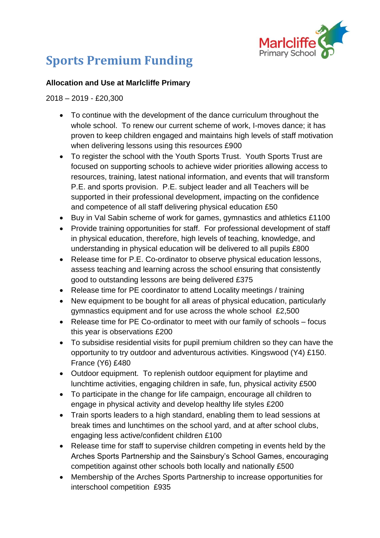

## **Sports Premium Funding**

## **Allocation and Use at Marlcliffe Primary**

2018 – 2019 - £20,300

- To continue with the development of the dance curriculum throughout the whole school. To renew our current scheme of work, I-moves dance; it has proven to keep children engaged and maintains high levels of staff motivation when delivering lessons using this resources £900
- To register the school with the Youth Sports Trust. Youth Sports Trust are focused on supporting schools to achieve wider priorities allowing access to resources, training, latest national information, and events that will transform P.E. and sports provision. P.E. subject leader and all Teachers will be supported in their professional development, impacting on the confidence and competence of all staff delivering physical education £50
- Buy in Val Sabin scheme of work for games, gymnastics and athletics £1100
- Provide training opportunities for staff. For professional development of staff in physical education, therefore, high levels of teaching, knowledge, and understanding in physical education will be delivered to all pupils £800
- Release time for P.E. Co-ordinator to observe physical education lessons, assess teaching and learning across the school ensuring that consistently good to outstanding lessons are being delivered £375
- Release time for PE coordinator to attend Locality meetings / training
- New equipment to be bought for all areas of physical education, particularly gymnastics equipment and for use across the whole school £2,500
- Release time for PE Co-ordinator to meet with our family of schools focus this year is observations £200
- To subsidise residential visits for pupil premium children so they can have the opportunity to try outdoor and adventurous activities. Kingswood (Y4) £150. France (Y6) £480
- Outdoor equipment. To replenish outdoor equipment for playtime and lunchtime activities, engaging children in safe, fun, physical activity £500
- To participate in the change for life campaign, encourage all children to engage in physical activity and develop healthy life styles £200
- Train sports leaders to a high standard, enabling them to lead sessions at break times and lunchtimes on the school yard, and at after school clubs, engaging less active/confident children £100
- Release time for staff to supervise children competing in events held by the Arches Sports Partnership and the Sainsbury's School Games, encouraging competition against other schools both locally and nationally £500
- Membership of the Arches Sports Partnership to increase opportunities for interschool competition £935